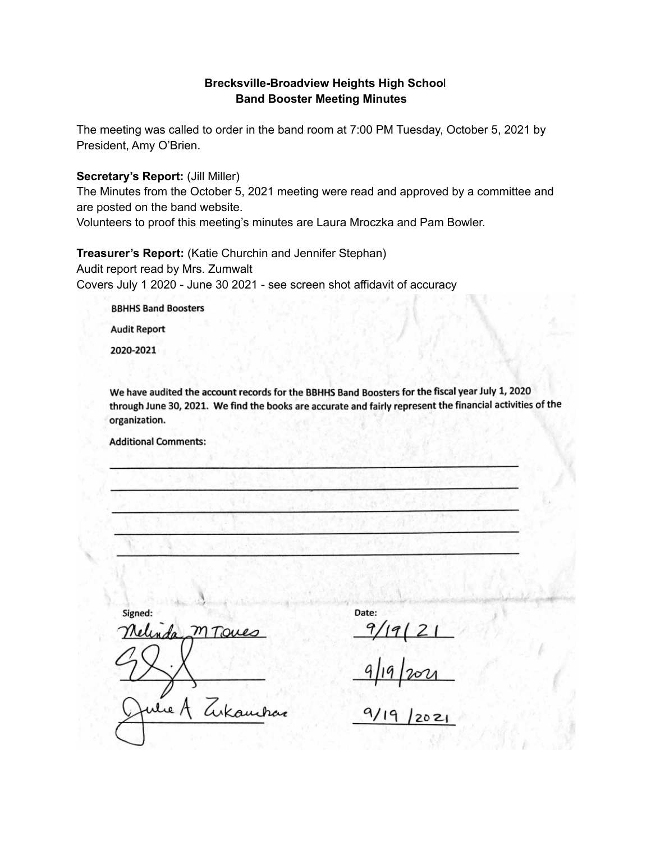#### **Brecksville-Broadview Heights High Schoo**l **Band Booster Meeting Minutes**

The meeting was called to order in the band room at 7:00 PM Tuesday, October 5, 2021 by President, Amy O'Brien.

**Secretary's Report:** (Jill Miller)

The Minutes from the October 5, 2021 meeting were read and approved by a committee and are posted on the band website.

Volunteers to proof this meeting's minutes are Laura Mroczka and Pam Bowler.

**Treasurer's Report:** (Katie Churchin and Jennifer Stephan) Audit report read by Mrs. Zumwalt Covers July 1 2020 - June 30 2021 - see screen shot affidavit of accuracy

**BBHHS Band Boosters** 

**Audit Report** 

2020-2021

We have audited the account records for the BBHHS Band Boosters for the fiscal year July 1, 2020 through June 30, 2021. We find the books are accurate and fairly represent the financial activities of the organization.

**Additional Comments:** 

Signed: MToues linda Tukambar re A

Date:

 $2021$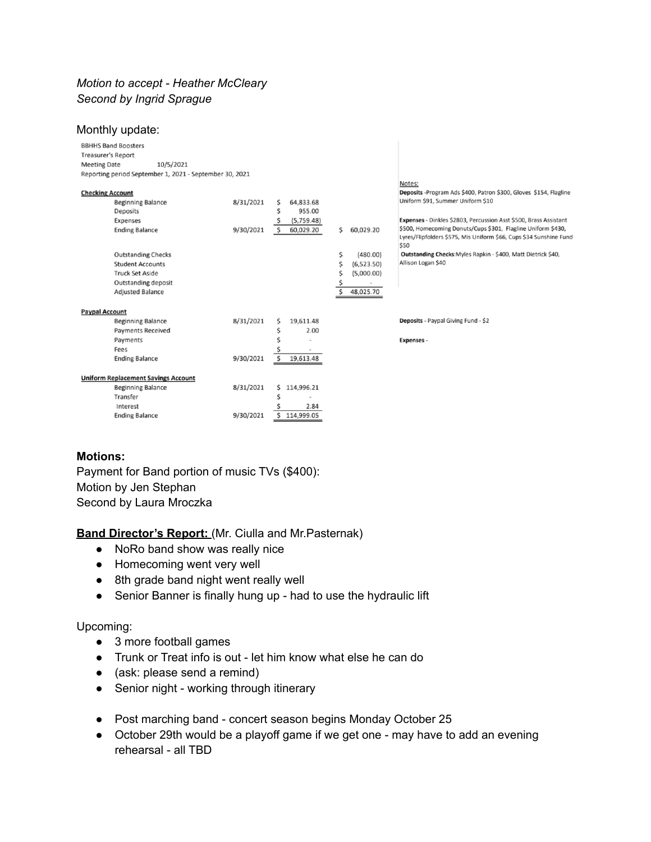## *Motion to accept - Heather McCleary Second by Ingrid Sprague*

| Monthly update:                                         |           |                 |                  |                                                                                                                                            |
|---------------------------------------------------------|-----------|-----------------|------------------|--------------------------------------------------------------------------------------------------------------------------------------------|
| <b>BBHHS Band Boosters</b>                              |           |                 |                  |                                                                                                                                            |
| <b>Treasurer's Report</b>                               |           |                 |                  |                                                                                                                                            |
| <b>Meeting Date</b><br>10/5/2021                        |           |                 |                  |                                                                                                                                            |
| Reporting period September 1, 2021 - September 30, 2021 |           |                 |                  |                                                                                                                                            |
|                                                         |           |                 |                  | Notes:                                                                                                                                     |
| <b>Checking Account</b>                                 |           |                 |                  | Deposits - Program Ads \$400, Patron \$300, Gloves \$154, Flagline                                                                         |
| <b>Beginning Balance</b>                                | 8/31/2021 | 64,833.68<br>\$ |                  | Uniform \$91, Summer Uniform \$10                                                                                                          |
| Deposits                                                |           | 955.00<br>Ś     |                  |                                                                                                                                            |
| Expenses                                                |           | (5,759.48)      |                  | Expenses - Dinkles \$2803, Percussion Asst \$500, Brass Assistant                                                                          |
| <b>Ending Balance</b>                                   | 9/30/2021 | \$<br>60,029.20 | 60,029.20<br>\$  | \$500, Homecoming Donuts/Cups \$301, Flagline Uniform \$430,<br>Lyres/Flipfolders \$575, Mis Uniform \$66, Cups \$34 Sunshine Fund<br>\$50 |
| <b>Outstanding Checks</b>                               |           |                 | \$<br>(480.00)   | Outstanding Checks: Myles Rapkin - \$400, Matt Dietrick \$40,                                                                              |
| <b>Student Accounts</b>                                 |           |                 | \$<br>(6,523.50) | Allison Logan \$40                                                                                                                         |
| <b>Truck Set Aside</b>                                  |           |                 | Ś<br>(5,000.00)  |                                                                                                                                            |
| <b>Outstanding deposit</b>                              |           |                 | $\,$             |                                                                                                                                            |
| <b>Adjusted Balance</b>                                 |           |                 | \$<br>48,025.70  |                                                                                                                                            |
|                                                         |           |                 |                  |                                                                                                                                            |
| <b>Paypal Account</b>                                   |           |                 |                  |                                                                                                                                            |
| <b>Beginning Balance</b>                                | 8/31/2021 | 19,611.48<br>S  |                  | Deposits - Paypal Giving Fund - \$2                                                                                                        |
| <b>Payments Received</b>                                |           | 2.00<br>Ś       |                  |                                                                                                                                            |
| Payments                                                |           |                 |                  | <b>Expenses -</b>                                                                                                                          |
| Fees                                                    |           |                 |                  |                                                                                                                                            |
| <b>Ending Balance</b>                                   | 9/30/2021 | Ś<br>19,613.48  |                  |                                                                                                                                            |
|                                                         |           |                 |                  |                                                                                                                                            |
| <b>Uniform Replacement Savings Account</b>              |           |                 |                  |                                                                                                                                            |
| <b>Beginning Balance</b>                                | 8/31/2021 | 114,996.21<br>Ś |                  |                                                                                                                                            |
| Transfer                                                |           | Ś               |                  |                                                                                                                                            |
| Interest                                                |           | 2.84            |                  |                                                                                                                                            |
| <b>Ending Balance</b>                                   | 9/30/2021 | 114,999.05      |                  |                                                                                                                                            |
|                                                         |           |                 |                  |                                                                                                                                            |
|                                                         |           |                 |                  |                                                                                                                                            |

### **Motions:**

Payment for Band portion of music TVs (\$400): Motion by Jen Stephan Second by Laura Mroczka

**Band Director's Report:** (Mr. Ciulla and Mr.Pasternak)

- NoRo band show was really nice
- Homecoming went very well
- 8th grade band night went really well
- Senior Banner is finally hung up had to use the hydraulic lift

#### Upcoming:

- 3 more football games
- Trunk or Treat info is out let him know what else he can do
- (ask: please send a remind)
- Senior night working through itinerary
- Post marching band concert season begins Monday October 25
- October 29th would be a playoff game if we get one may have to add an evening rehearsal - all TBD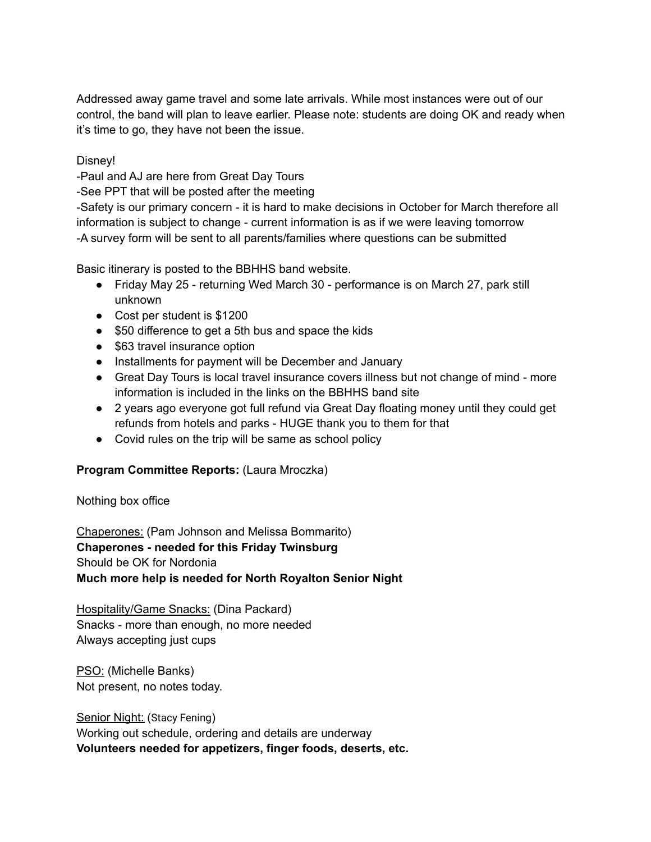Addressed away game travel and some late arrivals. While most instances were out of our control, the band will plan to leave earlier. Please note: students are doing OK and ready when it's time to go, they have not been the issue.

Disney!

-Paul and AJ are here from Great Day Tours

-See PPT that will be posted after the meeting

-Safety is our primary concern - it is hard to make decisions in October for March therefore all information is subject to change - current information is as if we were leaving tomorrow -A survey form will be sent to all parents/families where questions can be submitted

Basic itinerary is posted to the BBHHS band website.

- Friday May 25 returning Wed March 30 performance is on March 27, park still unknown
- Cost per student is \$1200
- \$50 difference to get a 5th bus and space the kids
- \$63 travel insurance option
- Installments for payment will be December and January
- Great Day Tours is local travel insurance covers illness but not change of mind more information is included in the links on the BBHHS band site
- 2 years ago everyone got full refund via Great Day floating money until they could get refunds from hotels and parks - HUGE thank you to them for that
- Covid rules on the trip will be same as school policy

## **Program Committee Reports:** (Laura Mroczka)

Nothing box office

Chaperones: (Pam Johnson and Melissa Bommarito) **Chaperones - needed for this Friday Twinsburg** Should be OK for Nordonia **Much more help is needed for North Royalton Senior Night**

Hospitality/Game Snacks: (Dina Packard) Snacks - more than enough, no more needed Always accepting just cups

PSO: (Michelle Banks) Not present, no notes today.

Senior Night: (Stacy Fening) Working out schedule, ordering and details are underway **Volunteers needed for appetizers, finger foods, deserts, etc.**